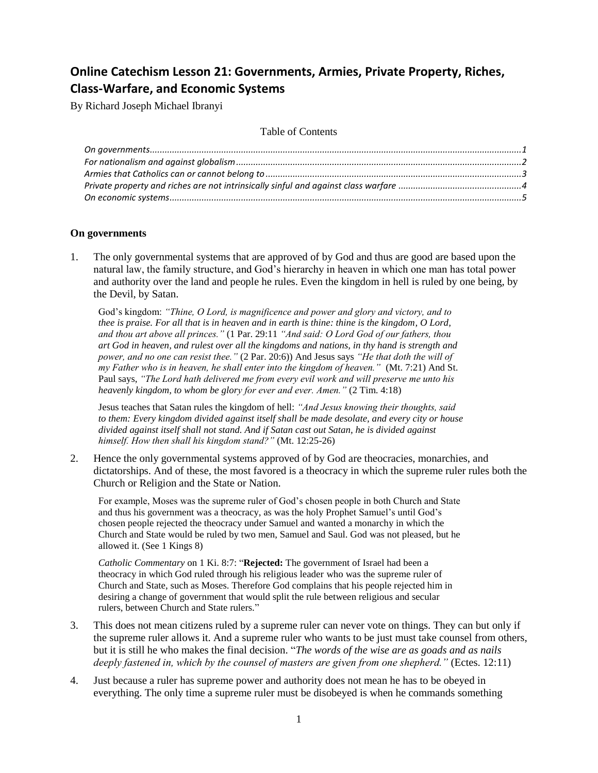# **Online Catechism Lesson 21: Governments, Armies, Private Property, Riches, Class-Warfare, and Economic Systems**

By Richard Joseph Michael Ibranyi

Table of Contents

# <span id="page-0-0"></span>**On governments**

1. The only governmental systems that are approved of by God and thus are good are based upon the natural law, the family structure, and God's hierarchy in heaven in which one man has total power and authority over the land and people he rules. Even the kingdom in hell is ruled by one being, by the Devil, by Satan.

God's kingdom: *"Thine, O Lord, is magnificence and power and glory and victory, and to thee is praise. For all that is in heaven and in earth is thine: thine is the kingdom, O Lord, and thou art above all princes."* (1 Par. 29:11 *"And said: O Lord God of our fathers, thou art God in heaven, and rulest over all the kingdoms and nations, in thy hand is strength and power, and no one can resist thee."* (2 Par. 20:6)) And Jesus says *"He that doth the will of my Father who is in heaven, he shall enter into the kingdom of heaven."* (Mt. 7:21) And St. Paul says, *"The Lord hath delivered me from every evil work and will preserve me unto his heavenly kingdom, to whom be glory for ever and ever. Amen."* (2 Tim. 4:18)

Jesus teaches that Satan rules the kingdom of hell: *"And Jesus knowing their thoughts, said to them: Every kingdom divided against itself shall be made desolate, and every city or house divided against itself shall not stand. And if Satan cast out Satan, he is divided against himself. How then shall his kingdom stand?"* (Mt. 12:25-26)

2. Hence the only governmental systems approved of by God are theocracies, monarchies, and dictatorships. And of these, the most favored is a theocracy in which the supreme ruler rules both the Church or Religion and the State or Nation.

For example, Moses was the supreme ruler of God's chosen people in both Church and State and thus his government was a theocracy, as was the holy Prophet Samuel's until God's chosen people rejected the theocracy under Samuel and wanted a monarchy in which the Church and State would be ruled by two men, Samuel and Saul. God was not pleased, but he allowed it. (See 1 Kings 8)

*Catholic Commentary* on 1 Ki. 8:7: "**Rejected:** The government of Israel had been a theocracy in which God ruled through his religious leader who was the supreme ruler of Church and State, such as Moses. Therefore God complains that his people rejected him in desiring a change of government that would split the rule between religious and secular rulers, between Church and State rulers."

- 3. This does not mean citizens ruled by a supreme ruler can never vote on things. They can but only if the supreme ruler allows it. And a supreme ruler who wants to be just must take counsel from others, but it is still he who makes the final decision. "*The words of the wise are as goads and as nails deeply fastened in, which by the counsel of masters are given from one shepherd."* (Ectes. 12:11)
- 4. Just because a ruler has supreme power and authority does not mean he has to be obeyed in everything. The only time a supreme ruler must be disobeyed is when he commands something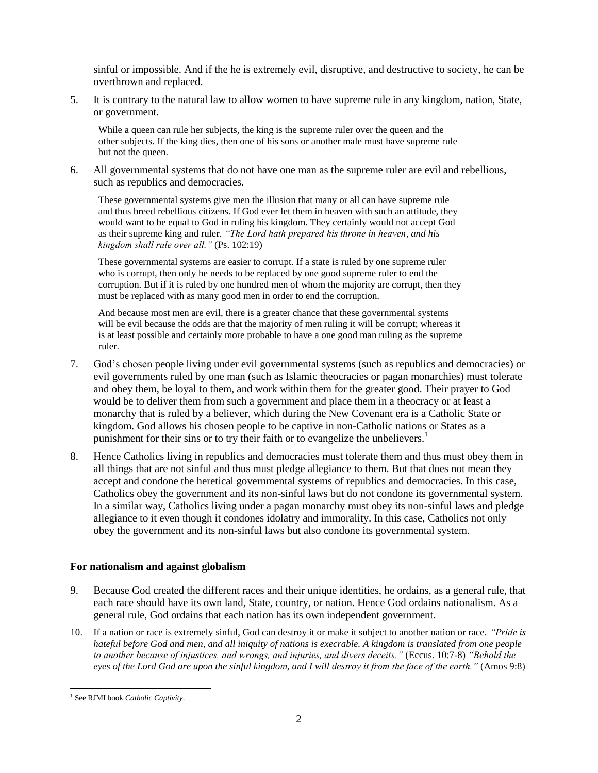sinful or impossible. And if the he is extremely evil, disruptive, and destructive to society, he can be overthrown and replaced.

5. It is contrary to the natural law to allow women to have supreme rule in any kingdom, nation, State, or government.

While a queen can rule her subjects, the king is the supreme ruler over the queen and the other subjects. If the king dies, then one of his sons or another male must have supreme rule but not the queen.

6. All governmental systems that do not have one man as the supreme ruler are evil and rebellious, such as republics and democracies.

These governmental systems give men the illusion that many or all can have supreme rule and thus breed rebellious citizens. If God ever let them in heaven with such an attitude, they would want to be equal to God in ruling his kingdom. They certainly would not accept God as their supreme king and ruler. *"The Lord hath prepared his throne in heaven, and his kingdom shall rule over all."* (Ps. 102:19)

These governmental systems are easier to corrupt. If a state is ruled by one supreme ruler who is corrupt, then only he needs to be replaced by one good supreme ruler to end the corruption. But if it is ruled by one hundred men of whom the majority are corrupt, then they must be replaced with as many good men in order to end the corruption.

And because most men are evil, there is a greater chance that these governmental systems will be evil because the odds are that the majority of men ruling it will be corrupt; whereas it is at least possible and certainly more probable to have a one good man ruling as the supreme ruler.

- 7. God's chosen people living under evil governmental systems (such as republics and democracies) or evil governments ruled by one man (such as Islamic theocracies or pagan monarchies) must tolerate and obey them, be loyal to them, and work within them for the greater good. Their prayer to God would be to deliver them from such a government and place them in a theocracy or at least a monarchy that is ruled by a believer, which during the New Covenant era is a Catholic State or kingdom. God allows his chosen people to be captive in non-Catholic nations or States as a punishment for their sins or to try their faith or to evangelize the unbelievers.<sup>1</sup>
- 8. Hence Catholics living in republics and democracies must tolerate them and thus must obey them in all things that are not sinful and thus must pledge allegiance to them. But that does not mean they accept and condone the heretical governmental systems of republics and democracies. In this case, Catholics obey the government and its non-sinful laws but do not condone its governmental system. In a similar way, Catholics living under a pagan monarchy must obey its non-sinful laws and pledge allegiance to it even though it condones idolatry and immorality. In this case, Catholics not only obey the government and its non-sinful laws but also condone its governmental system.

# <span id="page-1-0"></span>**For nationalism and against globalism**

- 9. Because God created the different races and their unique identities, he ordains, as a general rule, that each race should have its own land, State, country, or nation. Hence God ordains nationalism. As a general rule, God ordains that each nation has its own independent government.
- 10. If a nation or race is extremely sinful, God can destroy it or make it subject to another nation or race. *"Pride is hateful before God and men, and all iniquity of nations is execrable. A kingdom is translated from one people to another because of injustices, and wrongs, and injuries, and divers deceits."* (Eccus. 10:7-8) *"Behold the eyes of the Lord God are upon the sinful kingdom, and I will destroy it from the face of the earth."* (Amos 9:8)

 $\overline{a}$ 1 See RJMI book *Catholic Captivity*.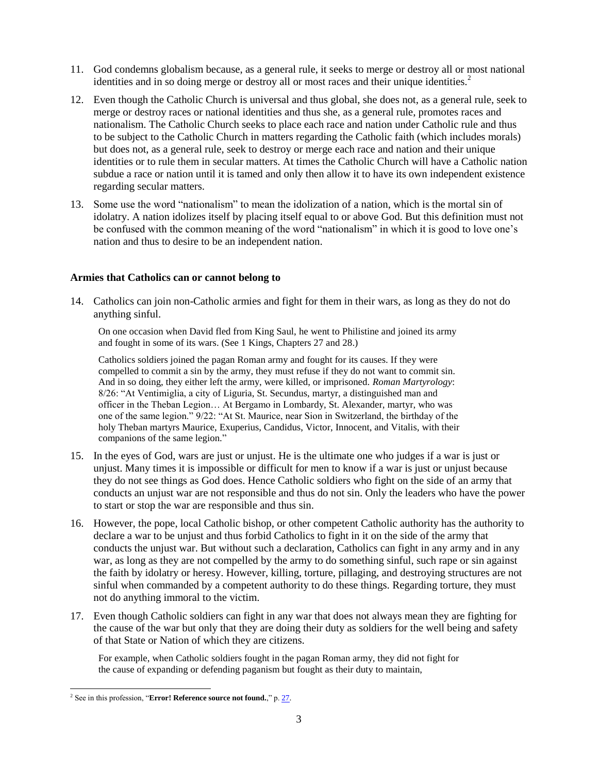- 11. God condemns globalism because, as a general rule, it seeks to merge or destroy all or most national identities and in so doing merge or destroy all or most races and their unique identities.<sup>2</sup>
- 12. Even though the Catholic Church is universal and thus global, she does not, as a general rule, seek to merge or destroy races or national identities and thus she, as a general rule, promotes races and nationalism. The Catholic Church seeks to place each race and nation under Catholic rule and thus to be subject to the Catholic Church in matters regarding the Catholic faith (which includes morals) but does not, as a general rule, seek to destroy or merge each race and nation and their unique identities or to rule them in secular matters. At times the Catholic Church will have a Catholic nation subdue a race or nation until it is tamed and only then allow it to have its own independent existence regarding secular matters.
- 13. Some use the word "nationalism" to mean the idolization of a nation, which is the mortal sin of idolatry. A nation idolizes itself by placing itself equal to or above God. But this definition must not be confused with the common meaning of the word "nationalism" in which it is good to love one's nation and thus to desire to be an independent nation.

### <span id="page-2-0"></span>**Armies that Catholics can or cannot belong to**

14. Catholics can join non-Catholic armies and fight for them in their wars, as long as they do not do anything sinful.

On one occasion when David fled from King Saul, he went to Philistine and joined its army and fought in some of its wars. (See 1 Kings, Chapters 27 and 28.)

Catholics soldiers joined the pagan Roman army and fought for its causes. If they were compelled to commit a sin by the army, they must refuse if they do not want to commit sin. And in so doing, they either left the army, were killed, or imprisoned. *Roman Martyrology*: 8/26: "At Ventimiglia, a city of Liguria, St. Secundus, martyr, a distinguished man and officer in the Theban Legion… At Bergamo in Lombardy, St. Alexander, martyr, who was one of the same legion." 9/22: "At St. Maurice, near Sion in Switzerland, the birthday of the holy Theban martyrs Maurice, Exuperius, Candidus, Victor, Innocent, and Vitalis, with their companions of the same legion."

- 15. In the eyes of God, wars are just or unjust. He is the ultimate one who judges if a war is just or unjust. Many times it is impossible or difficult for men to know if a war is just or unjust because they do not see things as God does. Hence Catholic soldiers who fight on the side of an army that conducts an unjust war are not responsible and thus do not sin. Only the leaders who have the power to start or stop the war are responsible and thus sin.
- 16. However, the pope, local Catholic bishop, or other competent Catholic authority has the authority to declare a war to be unjust and thus forbid Catholics to fight in it on the side of the army that conducts the unjust war. But without such a declaration, Catholics can fight in any army and in any war, as long as they are not compelled by the army to do something sinful, such rape or sin against the faith by idolatry or heresy. However, killing, torture, pillaging, and destroying structures are not sinful when commanded by a competent authority to do these things. Regarding torture, they must not do anything immoral to the victim.
- 17. Even though Catholic soldiers can fight in any war that does not always mean they are fighting for the cause of the war but only that they are doing their duty as soldiers for the well being and safety of that State or Nation of which they are citizens.

For example, when Catholic soldiers fought in the pagan Roman army, they did not fight for the cause of expanding or defending paganism but fought as their duty to maintain,

 $\overline{a}$ <sup>2</sup> See in this profession, "**Error! Reference source not found.**," p. 27.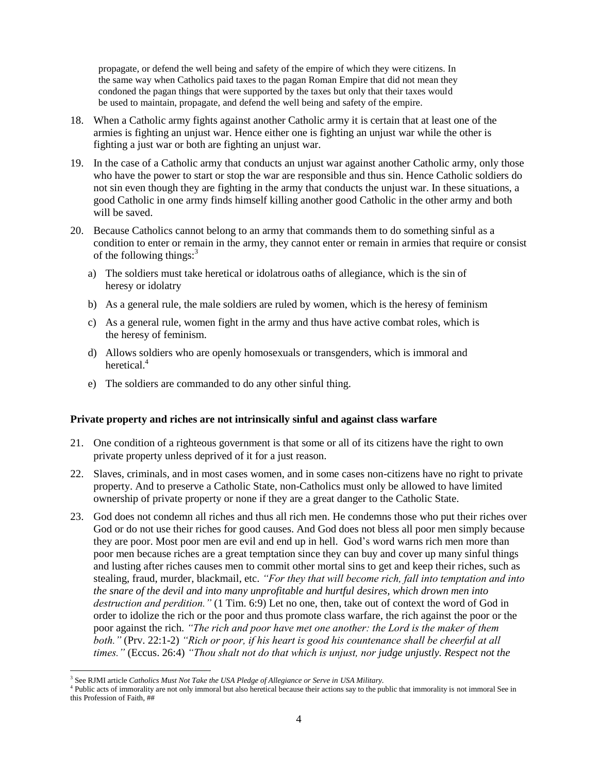propagate, or defend the well being and safety of the empire of which they were citizens. In the same way when Catholics paid taxes to the pagan Roman Empire that did not mean they condoned the pagan things that were supported by the taxes but only that their taxes would be used to maintain, propagate, and defend the well being and safety of the empire.

- 18. When a Catholic army fights against another Catholic army it is certain that at least one of the armies is fighting an unjust war. Hence either one is fighting an unjust war while the other is fighting a just war or both are fighting an unjust war.
- 19. In the case of a Catholic army that conducts an unjust war against another Catholic army, only those who have the power to start or stop the war are responsible and thus sin. Hence Catholic soldiers do not sin even though they are fighting in the army that conducts the unjust war. In these situations, a good Catholic in one army finds himself killing another good Catholic in the other army and both will be saved.
- 20. Because Catholics cannot belong to an army that commands them to do something sinful as a condition to enter or remain in the army, they cannot enter or remain in armies that require or consist of the following things: $3<sup>3</sup>$ 
	- a) The soldiers must take heretical or idolatrous oaths of allegiance, which is the sin of heresy or idolatry
	- b) As a general rule, the male soldiers are ruled by women, which is the heresy of feminism
	- c) As a general rule, women fight in the army and thus have active combat roles, which is the heresy of feminism.
	- d) Allows soldiers who are openly homosexuals or transgenders, which is immoral and heretical.<sup>4</sup>
	- e) The soldiers are commanded to do any other sinful thing.

# <span id="page-3-0"></span>**Private property and riches are not intrinsically sinful and against class warfare**

- 21. One condition of a righteous government is that some or all of its citizens have the right to own private property unless deprived of it for a just reason.
- 22. Slaves, criminals, and in most cases women, and in some cases non-citizens have no right to private property. And to preserve a Catholic State, non-Catholics must only be allowed to have limited ownership of private property or none if they are a great danger to the Catholic State.
- 23. God does not condemn all riches and thus all rich men. He condemns those who put their riches over God or do not use their riches for good causes. And God does not bless all poor men simply because they are poor. Most poor men are evil and end up in hell. God's word warns rich men more than poor men because riches are a great temptation since they can buy and cover up many sinful things and lusting after riches causes men to commit other mortal sins to get and keep their riches, such as stealing, fraud, murder, blackmail, etc. *"For they that will become rich, fall into temptation and into the snare of the devil and into many unprofitable and hurtful desires, which drown men into destruction and perdition."* (1 Tim. 6:9) Let no one, then, take out of context the word of God in order to idolize the rich or the poor and thus promote class warfare, the rich against the poor or the poor against the rich. *"The rich and poor have met one another: the Lord is the maker of them both."* (Prv. 22:1-2) *"Rich or poor, if his heart is good his countenance shall be cheerful at all times."* (Eccus. 26:4) *"Thou shalt not do that which is unjust, nor judge unjustly. Respect not the*

 $\overline{a}$ 3 See RJMI article *Catholics Must Not Take the USA Pledge of Allegiance or Serve in USA Military.*

<sup>&</sup>lt;sup>4</sup> Public acts of immorality are not only immoral but also heretical because their actions say to the public that immorality is not immoral See in this Profession of Faith, ##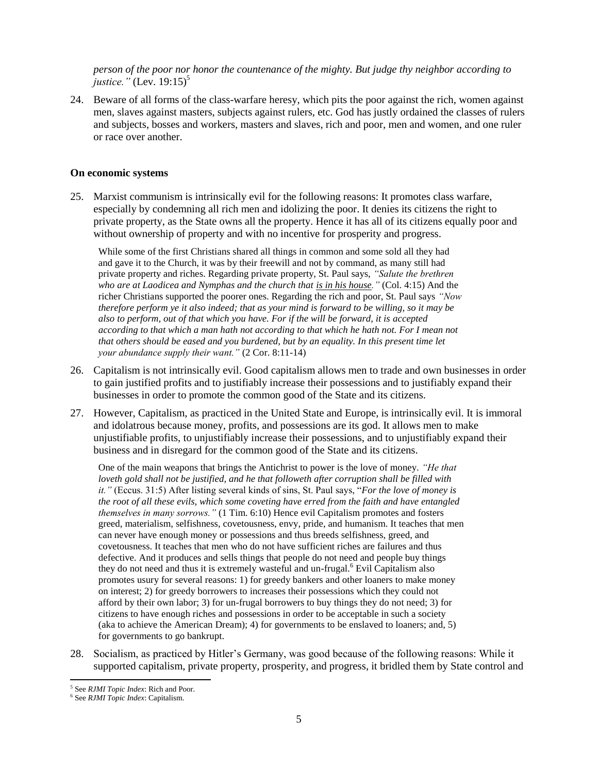*person of the poor nor honor the countenance of the mighty. But judge thy neighbor according to justice.*" (Lev.  $19:15$ )<sup>5</sup>

24. Beware of all forms of the class-warfare heresy, which pits the poor against the rich, women against men, slaves against masters, subjects against rulers, etc. God has justly ordained the classes of rulers and subjects, bosses and workers, masters and slaves, rich and poor, men and women, and one ruler or race over another.

### <span id="page-4-0"></span>**On economic systems**

25. Marxist communism is intrinsically evil for the following reasons: It promotes class warfare, especially by condemning all rich men and idolizing the poor. It denies its citizens the right to private property, as the State owns all the property. Hence it has all of its citizens equally poor and without ownership of property and with no incentive for prosperity and progress.

While some of the first Christians shared all things in common and some sold all they had and gave it to the Church, it was by their freewill and not by command, as many still had private property and riches. Regarding private property, St. Paul says, *"Salute the brethren who are at Laodicea and Nymphas and the church that is in his house."* (Col. 4:15) And the richer Christians supported the poorer ones. Regarding the rich and poor, St. Paul says *"Now therefore perform ye it also indeed; that as your mind is forward to be willing, so it may be also to perform, out of that which you have. For if the will be forward, it is accepted according to that which a man hath not according to that which he hath not. For I mean not that others should be eased and you burdened, but by an equality. In this present time let your abundance supply their want."* (2 Cor. 8:11-14)

- 26. Capitalism is not intrinsically evil. Good capitalism allows men to trade and own businesses in order to gain justified profits and to justifiably increase their possessions and to justifiably expand their businesses in order to promote the common good of the State and its citizens.
- 27. However, Capitalism, as practiced in the United State and Europe, is intrinsically evil. It is immoral and idolatrous because money, profits, and possessions are its god. It allows men to make unjustifiable profits, to unjustifiably increase their possessions, and to unjustifiably expand their business and in disregard for the common good of the State and its citizens.

One of the main weapons that brings the Antichrist to power is the love of money. *"He that loveth gold shall not be justified, and he that followeth after corruption shall be filled with it."* (Eccus. 31:5) After listing several kinds of sins, St. Paul says, "*For the love of money is the root of all these evils, which some coveting have erred from the faith and have entangled themselves in many sorrows."* (1 Tim. 6:10) Hence evil Capitalism promotes and fosters greed, materialism, selfishness, covetousness, envy, pride, and humanism. It teaches that men can never have enough money or possessions and thus breeds selfishness, greed, and covetousness. It teaches that men who do not have sufficient riches are failures and thus defective. And it produces and sells things that people do not need and people buy things they do not need and thus it is extremely wasteful and un-frugal.<sup>6</sup> Evil Capitalism also promotes usury for several reasons: 1) for greedy bankers and other loaners to make money on interest; 2) for greedy borrowers to increases their possessions which they could not afford by their own labor; 3) for un-frugal borrowers to buy things they do not need; 3) for citizens to have enough riches and possessions in order to be acceptable in such a society (aka to achieve the American Dream); 4) for governments to be enslaved to loaners; and, 5) for governments to go bankrupt.

28. Socialism, as practiced by Hitler's Germany, was good because of the following reasons: While it supported capitalism, private property, prosperity, and progress, it bridled them by State control and

 5 See *RJMI Topic Index*: Rich and Poor.

<sup>6</sup> See *RJMI Topic Index*: Capitalism.